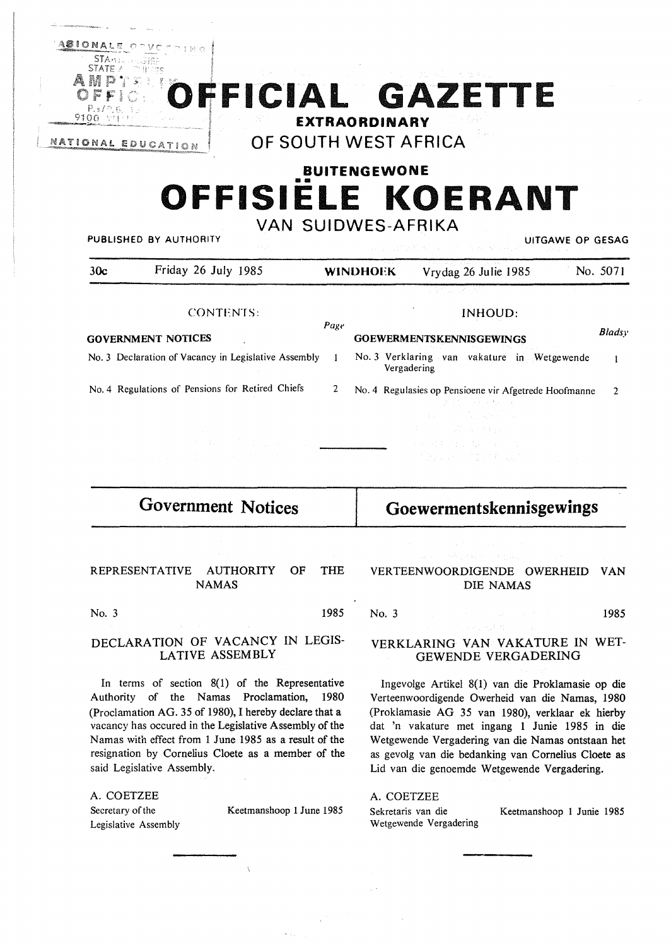

# **BUITENGEWONE**  •• **OFFISIELE KOERANT**

**VAN SUIDWES-AFRIKA** 

| PUBLISHED BY AUTHORITY |                                                                 | UITGAWE OP GESAG |  |
|------------------------|-----------------------------------------------------------------|------------------|--|
|                        | 그 사람은 아이들은 아이들은 아이들은 아이들은 아이들의 사람들은 사람들이 아니라 사람들이 아니라 아이들이 있었다. |                  |  |

| 30c                                              | Friday 26 July 1985                                                                                                            | <b>WINDHOEK</b> |                                 |                       |  | Vrydag 26 Julie 1985                                                     |  | No. 5071      |
|--------------------------------------------------|--------------------------------------------------------------------------------------------------------------------------------|-----------------|---------------------------------|-----------------------|--|--------------------------------------------------------------------------|--|---------------|
|                                                  |                                                                                                                                |                 |                                 | (1) 新規会員 (第1984年) (1) |  |                                                                          |  |               |
| <b>CONTENTS:</b>                                 |                                                                                                                                |                 | INHOUD:                         |                       |  |                                                                          |  | <b>Bladsy</b> |
| <b>GOVERNMENT NOTICES</b>                        |                                                                                                                                | Page            | <b>GOEWERMENTSKENNISGEWINGS</b> |                       |  |                                                                          |  |               |
|                                                  | No. 3 Declaration of Vacancy in Legislative Assembly                                                                           |                 |                                 | Vergadering           |  | No. 3 Verklaring van vakature in Wetgewende                              |  |               |
| No. 4 Regulations of Pensions for Retired Chiefs |                                                                                                                                | 2               |                                 |                       |  | No. 4 Regulasies op Pensioene vir Afgetrede Hoofmanne<br>こうまつがく みんわりょう   |  |               |
|                                                  |                                                                                                                                |                 |                                 |                       |  | a na matangan na katalog sa kala<br>and the second control of the second |  |               |
|                                                  | a na kaominina mpikambana amin'ny fivondronan-kaominin'i Amerika ao amin'ny faritr'i Nord-Amerika.<br>Ny faritr'ora dia GMT+1. |                 |                                 |                       |  | メモ ろくろう 太平 スーパン<br>いんなん アール・アクセック あいこうか                                  |  |               |

**Government Notices** 

**Goewermentskennisgewings** 

## REPRESENTATIVE AUTHORITY OF THE NAMAS

No. 3 1985

## DECLARATION OF VACANCY IN LEGIS-LATIVE ASSEMBLY

In terms of section 8(1) of the Representative Authority of the Namas Proclamation, 1980 (Proclamation AG. 35 of 1980), I hereby declare that a vacancy has occured in the Legislative Assembly of the Namas with effect from 1 June 1985 as a result of the resignation by Cornelius Cloete as a member of the said Legislative Assembly.

A. COETZEE Secretary of the Legislative Assembly

Keetmanshoop 1 June 1985

## VERTEENWOORDIGENDE OWERHEID VAN DIE NAMAS

No. 3 1985

## VERKLARING VAN VAKATURE IN WET-GEWENDE VERGADERING

Ingevolge Artikel 8(1) van die Proklamasie op die Verteenwoordigende Owerheid van die Namas, 1980 (Proklamasie AG 35 van 1980), verklaar ek hierby dat 'n vakature met ingang 1 Junie 1985 in die Wetgewende Vergadering van die Namas ontstaan het as gevolg van die bedanking van Cornelius Cloete as Lid van die genoemde Wetgewende Vergadering.

### A.COETZEE

Sekretaris van die Wetgewende Vergadering Keetmanshoop 1 Junie 1985